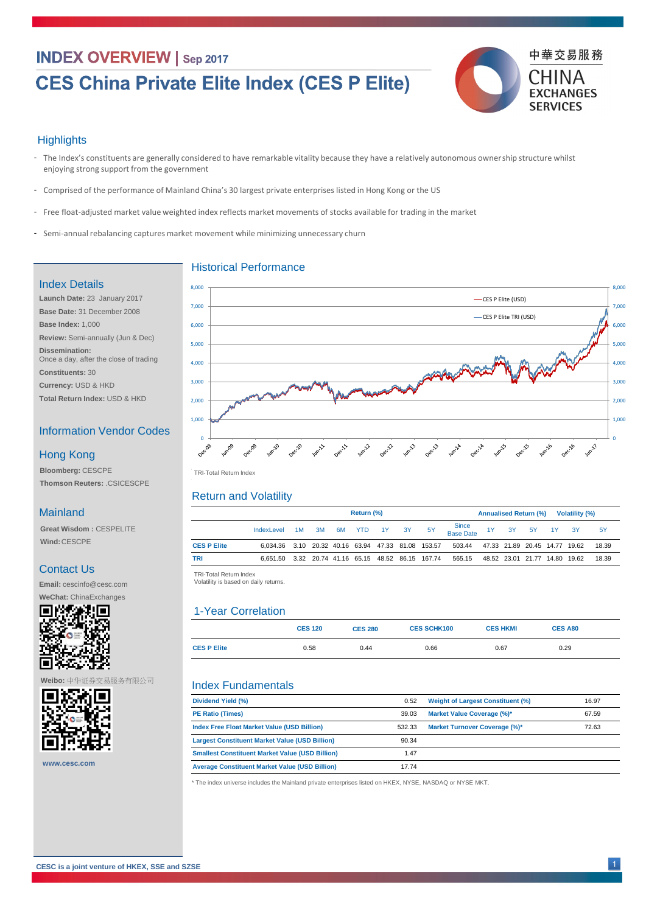# **INDEX OVERVIEW | Sep 2017**

# **CES China Private Elite Index (CES P Elite)**



#### **Highlights**

- The Index's constituents are generally considered to have remarkable vitality because they have a relatively autonomous ownership structure whilst enjoying strong support from the government
- Comprised of the performance of Mainland China's 30 largest private enterprises listed in Hong Kong or the US -
- Free float-adjusted market value weighted index reflects market movements of stocks available for trading in the market
- Semi-annual rebalancing captures market movement while minimizing unnecessary churn

| Dividend Yield (%)      | 0.52  | <b>Weight of Largest Constituent (%)</b> | 16.97 |
|-------------------------|-------|------------------------------------------|-------|
| <b>PE Ratio (Times)</b> | 39.03 | <b>Market Value Coverage (%)*</b>        | 67.59 |

|                    | <b>Return (%)</b>                                         |    |           |    |                  |  |           |           | <b>Annualised Return (%)</b><br><b>Volatility (%)</b> |  |  |                |  |  |       |
|--------------------|-----------------------------------------------------------|----|-----------|----|------------------|--|-----------|-----------|-------------------------------------------------------|--|--|----------------|--|--|-------|
|                    | IndexLevel                                                | 1M | $\sim$ 3M | 6M | <b>SACTE YTD</b> |  | $1Y$ $3Y$ | <b>5Y</b> | Since<br>Base Date                                    |  |  | 1Y 3Y 5Y 1Y 3Y |  |  | .5Y   |
| <b>CES P Elite</b> | 6,034.36  3.10  20.32  40.16  63.94  47.33  81.08  153.57 |    |           |    |                  |  |           |           | 503.44  47.33  21.89  20.45  14.77  19.62             |  |  |                |  |  | 18.39 |
| <b>TRI</b>         | 6,651.50  3.32  20.74  41.16  65.15  48.52  86.15  167.74 |    |           |    |                  |  |           |           | 565.15 48.52 23.01 21.77 14.80 19.62                  |  |  |                |  |  | 18.39 |

| <b>Index Free Float Market Value (USD Billion)</b>     | 532.33 | <b>Market Turnover Coverage (%)*</b> | 72.63 |
|--------------------------------------------------------|--------|--------------------------------------|-------|
| <b>Largest Constituent Market Value (USD Billion)</b>  | 90.34  |                                      |       |
| <b>Smallest Constituent Market Value (USD Billion)</b> | 1.47   |                                      |       |
| <b>Average Constituent Market Value (USD Billion)</b>  | 17.74  |                                      |       |

|                    | <b>CES 120</b> | <b>CES 280</b> | <b>CES SCHK100</b> | <b>CES HKMI</b> | <b>CES A80</b> |  |
|--------------------|----------------|----------------|--------------------|-----------------|----------------|--|
| <b>CES P Elite</b> | 0.58           | 0.44           | 0.66               | 0.67            | 0.29           |  |

TRI -Total Return Index TRI-Total Return Index

TRI -Total Return Index TRI-Total Return Index

Volatility is based on daily returns. Volatility is based on daily returns.



#### Historical Performance

#### Return and Volatility

#### Index Fundamentals

#### Index Details

**Launch Date:** 23 January 2017 **Base Date:** 31 December 2008 **Base Index:** 1,000 **Review:** Semi-annually (Jun & Dec)

**Dissemination:**  Once a day, after the close of trading

- **Constituents:** 30
- **Currency:** USD & HKD **Total Return Index:** USD & HKD

#### Information Vendor Codes

**Bloomberg:** CESCPE **Thomson Reuters:** .CSICESCPE

#### **Mainland**

#### Hong Kong

**Great Wisdom :** CESPELITE **Wind:**CESCPE

#### Contact Us

**Email:** cescinfo@cesc.com

**WeChat:** ChinaExchanges



\* The index universe includes the Mainland private enterprises listed on HKEX, NYSE, NASDAQ or NYSE MKT.

1

**Weibo:** 中华证券交易服务有限公司



**CESC is a joint venture of HKEX, SSE and SZSE**

**www.cesc.com**

### 1-Year Correlation

 $\overline{\phantom{0}}$